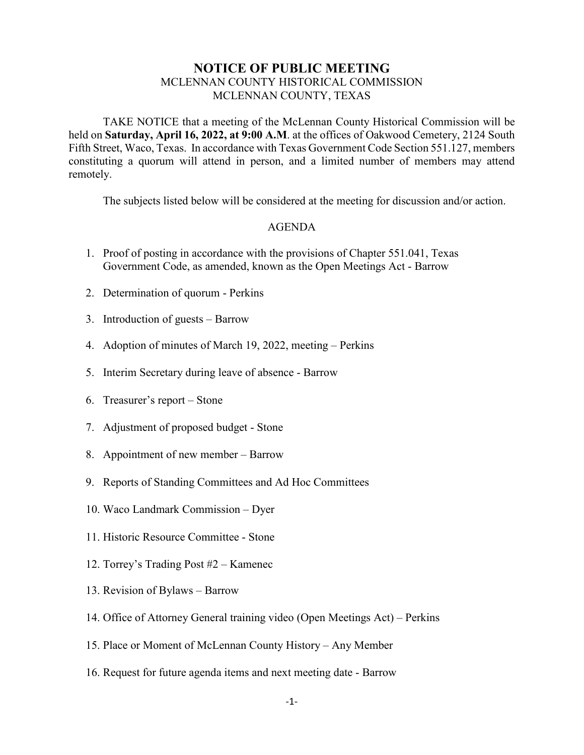## **NOTICE OF PUBLIC MEETING** MCLENNAN COUNTY HISTORICAL COMMISSION MCLENNAN COUNTY, TEXAS

TAKE NOTICE that a meeting of the McLennan County Historical Commission will be held on **Saturday, April 16, 2022, at 9:00 A.M**. at the offices of Oakwood Cemetery, 2124 South Fifth Street, Waco, Texas. In accordance with Texas Government Code Section 551.127, members constituting a quorum will attend in person, and a limited number of members may attend remotely.

The subjects listed below will be considered at the meeting for discussion and/or action.

## AGENDA

- 1. Proof of posting in accordance with the provisions of Chapter 551.041, Texas Government Code, as amended, known as the Open Meetings Act - Barrow
- 2. Determination of quorum Perkins
- 3. Introduction of guests Barrow
- 4. Adoption of minutes of March 19, 2022, meeting Perkins
- 5. Interim Secretary during leave of absence Barrow
- 6. Treasurer's report Stone
- 7. Adjustment of proposed budget Stone
- 8. Appointment of new member Barrow
- 9. Reports of Standing Committees and Ad Hoc Committees
- 10. Waco Landmark Commission Dyer
- 11. Historic Resource Committee Stone
- 12. Torrey's Trading Post #2 Kamenec
- 13. Revision of Bylaws Barrow
- 14. Office of Attorney General training video (Open Meetings Act) Perkins
- 15. Place or Moment of McLennan County History Any Member
- 16. Request for future agenda items and next meeting date Barrow